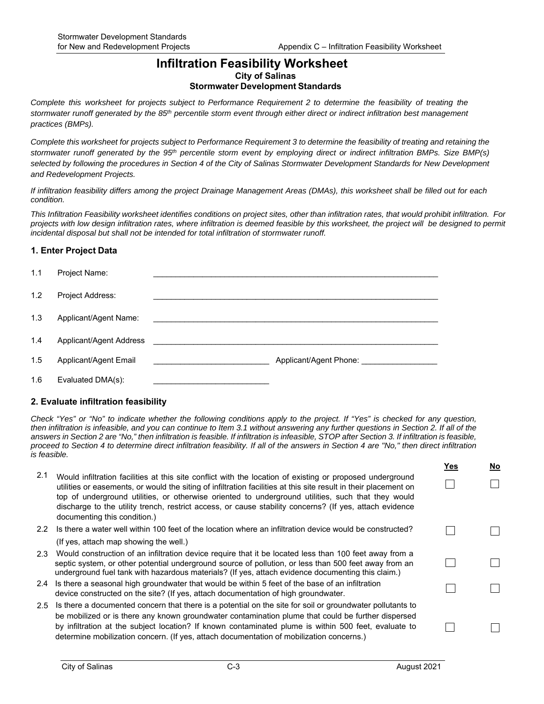## **Infiltration Feasibility Worksheet City of Salinas Stormwater Development Standards**

*Complete this worksheet for projects subject to Performance Requirement 2 to determine the feasibility of treating the stormwater runoff generated by the 85th percentile storm event through either direct or indirect infiltration best management practices (BMPs).*

*Complete this worksheet for projects subject to Performance Requirement 3 to determine the feasibility of treating and retaining the stormwater runoff generated by the 95th percentile storm event by employing direct or indirect infiltration BMPs. Size BMP(s) selected by following the procedures in Section 4 of the City of Salinas Stormwater Development Standards for New Development and Redevelopment Projects.*

*If infiltration feasibility differs among the project Drainage Management Areas (DMAs), this worksheet shall be filled out for each condition.*

*This Infiltration Feasibility worksheet identifies conditions on project sites, other than infiltration rates, that would prohibit infiltration. For projects with low design infiltration rates, where infiltration is deemed feasible by this worksheet, the project will be designed to permit incidental disposal but shall not be intended for total infiltration of stormwater runoff.*

### **1. Enter Project Data**

| 1.1 | Project Name:           |  |
|-----|-------------------------|--|
| 1.2 | Project Address:        |  |
| 1.3 | Applicant/Agent Name:   |  |
| 1.4 | Applicant/Agent Address |  |
| 1.5 | Applicant/Agent Email   |  |
| 1.6 | Evaluated DMA(s):       |  |

## **2. Evaluate infiltration feasibility**

*Check "Yes" or "No" to indicate whether the following conditions apply to the project. If "Yes" is checked for any question, then infiltration is infeasible, and you can continue to Item 3.1 without answering any further questions in Section 2. If all of the answers in Section 2 are "No," then infiltration is feasible. If infiltration is infeasible, STOP after Section 3. If infiltration is feasible, proceed to Section 4 to determine direct infiltration feasibility. If all of the answers in Section 4 are "No," then direct infiltration is feasible.*

|     |                                                                                                                                                                                                                                                                                                                                                                                                                                                                                | Yes | No |
|-----|--------------------------------------------------------------------------------------------------------------------------------------------------------------------------------------------------------------------------------------------------------------------------------------------------------------------------------------------------------------------------------------------------------------------------------------------------------------------------------|-----|----|
| 2.1 | Would infiltration facilities at this site conflict with the location of existing or proposed underground<br>utilities or easements, or would the siting of infiltration facilities at this site result in their placement on<br>top of underground utilities, or otherwise oriented to underground utilities, such that they would<br>discharge to the utility trench, restrict access, or cause stability concerns? (If yes, attach evidence<br>documenting this condition.) |     |    |
| 2.2 | Is there a water well within 100 feet of the location where an infiltration device would be constructed?                                                                                                                                                                                                                                                                                                                                                                       |     |    |
|     | (If yes, attach map showing the well.)                                                                                                                                                                                                                                                                                                                                                                                                                                         |     |    |
| 2.3 | Would construction of an infiltration device require that it be located less than 100 feet away from a<br>septic system, or other potential underground source of pollution, or less than 500 feet away from an<br>underground fuel tank with hazardous materials? (If yes, attach evidence documenting this claim.)                                                                                                                                                           |     |    |
|     | 2.4 Is there a seasonal high groundwater that would be within 5 feet of the base of an infiltration<br>device constructed on the site? (If yes, attach documentation of high groundwater.                                                                                                                                                                                                                                                                                      |     |    |
| 2.5 | Is there a documented concern that there is a potential on the site for soil or groundwater pollutants to<br>be mobilized or is there any known groundwater contamination plume that could be further dispersed<br>by infiltration at the subject location? If known contaminated plume is within 500 feet, evaluate to<br>determine mobilization concern. (If yes, attach documentation of mobilization concerns.)                                                            |     |    |